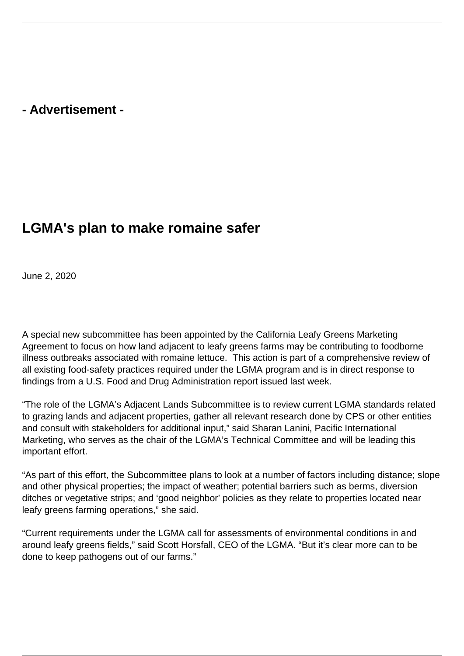## **- Advertisement -**

## **LGMA's plan to make romaine safer**

June 2, 2020

A special new subcommittee has been appointed by the California Leafy Greens Marketing Agreement to focus on how land adjacent to leafy greens farms may be contributing to foodborne illness outbreaks associated with romaine lettuce. This action is part of a comprehensive review of all existing food-safety practices required under the LGMA program and is in direct response to findings from a U.S. Food and Drug Administration report issued last week.

"The role of the LGMA's Adjacent Lands Subcommittee is to review current LGMA standards related to grazing lands and adjacent properties, gather all relevant research done by CPS or other entities and consult with stakeholders for additional input," said Sharan Lanini, Pacific International Marketing, who serves as the chair of the LGMA's Technical Committee and will be leading this important effort.

"As part of this effort, the Subcommittee plans to look at a number of factors including distance; slope and other physical properties; the impact of weather; potential barriers such as berms, diversion ditches or vegetative strips; and 'good neighbor' policies as they relate to properties located near leafy greens farming operations," she said.

"Current requirements under the LGMA call for assessments of environmental conditions in and around leafy greens fields," said Scott Horsfall, CEO of the LGMA. "But it's clear more can to be done to keep pathogens out of our farms."